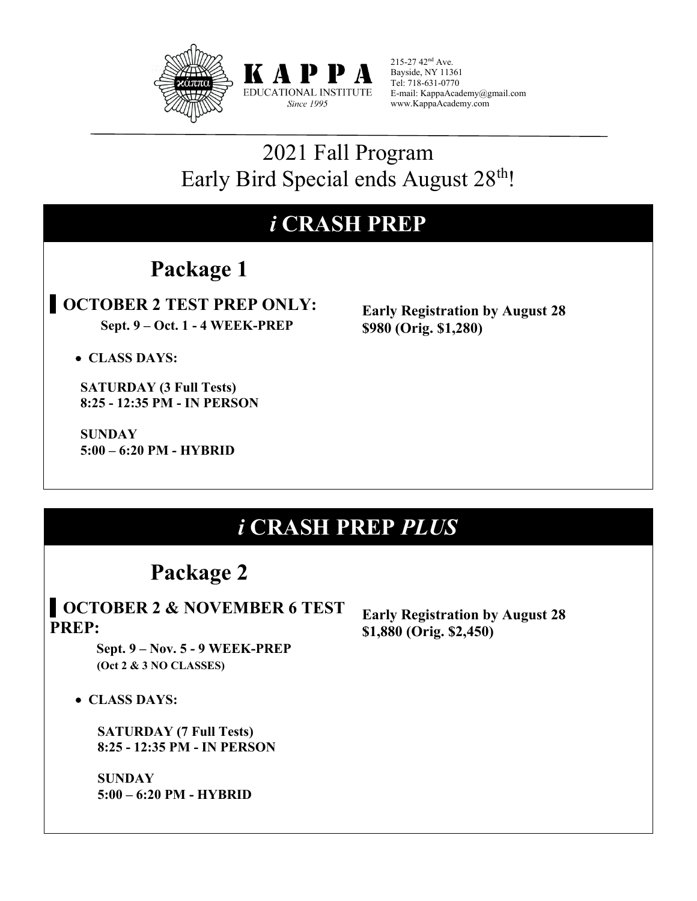



215-27 42nd Ave. Bayside, NY 11361 Tel: 718-631-0770 E-mail: KappaAcademy@gmail.com www.KappaAcademy.com

### 2021 Fall Program Early Bird Special ends August 28<sup>th</sup>!

### *i* **CRASH PREP**

### **Package 1**

#### • **OCTOBER 2 TEST PREP ONLY: Sept. 9 – Oct. 1 - 4 WEEK-PREP**

**Early Registration by August 28 \$980 (Orig. \$1,280)**

• **CLASS DAYS:**

 **SATURDAY (3 Full Tests) 8:25 - 12:35 PM - IN PERSON**

 **SUNDAY 5:00 – 6:20 PM - HYBRID**

### *i* **CRASH PREP** *PLUS*

### **Package 2**

#### • **OCTOBER 2 & NOVEMBER 6 TEST PREP:**

 **Sept. 9 – Nov. 5 - 9 WEEK-PREP (Oct 2 & 3 NO CLASSES)**

• **CLASS DAYS:**

 **SATURDAY (7 Full Tests) 8:25 - 12:35 PM - IN PERSON** 

 **SUNDAY 5:00 – 6:20 PM - HYBRID**  **Early Registration by August 28 \$1,880 (Orig. \$2,450)**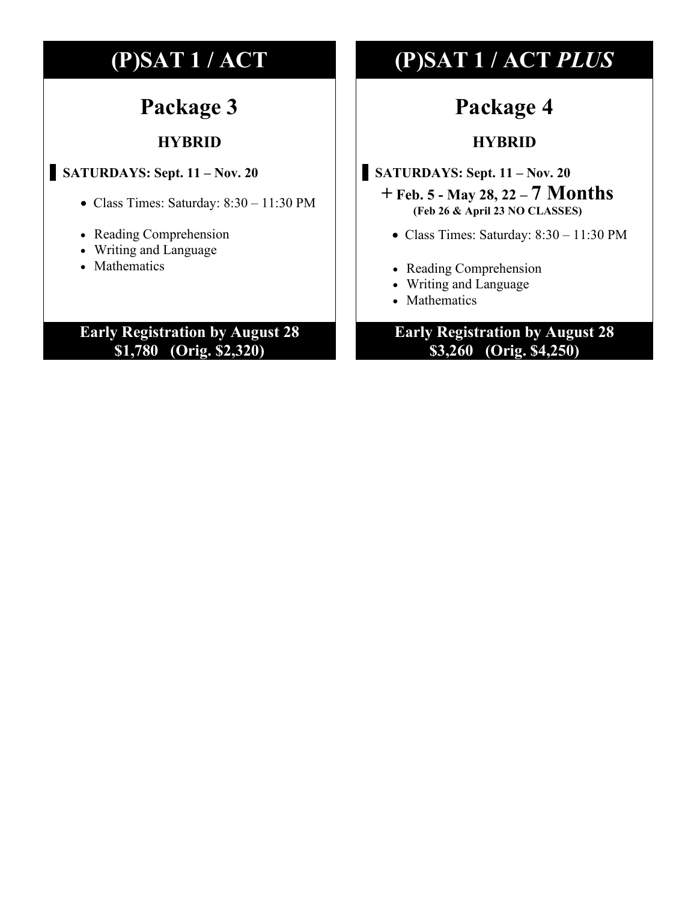### **Package 3**

#### **HYBRID**

#### • **SATURDAYS: Sept. 11 – Nov. 20**

- Class Times: Saturday: 8:30 11:30 PM
- Reading Comprehension
- Writing and Language
- Mathematics

#### **Early Registration by August 28 \$1,780 (Orig. \$2,320)**

### **(P)SAT 1 / ACT (P)SAT 1 / ACT** *PLUS*

### **Package 4**

#### **HYBRID**

- **SATURDAYS: Sept. 11 – Nov. 20**
	- **+ Feb. 5 - May 28, 22 – 7 Months (Feb 26 & April 23 NO CLASSES)**
		- Class Times: Saturday: 8:30 11:30 PM
		- Reading Comprehension
		- Writing and Language
		- Mathematics

#### **Early Registration by August 28 \$3,260 (Orig. \$4,250)**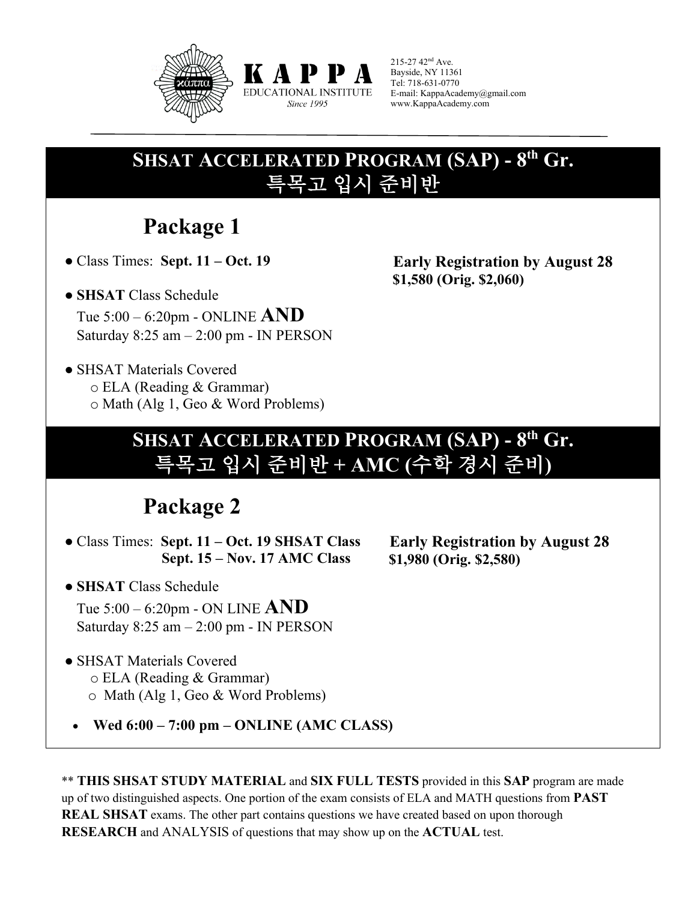

215-27 42nd Ave. Bayside, NY 11361 Tel: 718-631-0770 E-mail: KappaAcademy@gmail.com www.KappaAcademy.com

### **SHSAT ACCELERATED PROGRAM (SAP) - 8th Gr.** 특목고 입시 준비반

КАРР EDUCATIONAL INSTITUTE Since 1995

### **Package 1**

● Class Times: **Sept. 11 – Oct. 19**

● **SHSAT** Class Schedule Tue 5:00 – 6:20pm - ONLINE **AND** Saturday 8:25 am – 2:00 pm - IN PERSON

● SHSAT Materials Covered o ELA (Reading & Grammar) o Math (Alg 1, Geo & Word Problems)

### **SHSAT ACCELERATED PROGRAM (SAP) - 8th Gr.** 특목고 입시 준비반 **+ AMC (**수학 경시 준비**)**

### **Package 2**

● Class Times: **Sept. 11 – Oct. 19 SHSAT Class Sept. 15 – Nov. 17 AMC Class**

 **Early Registration by August 28 \$1,980 (Orig. \$2,580)** 

 **Early Registration by August 28**

 **\$1,580 (Orig. \$2,060)** 

● **SHSAT** Class Schedule

Tue 5:00 – 6:20pm - ON LINE **AND** Saturday  $8:25$  am  $-2:00$  pm - IN PERSON

- SHSAT Materials Covered o ELA (Reading & Grammar) o Math (Alg 1, Geo & Word Problems)
	- **Wed 6:00 7:00 pm ONLINE (AMC CLASS)**

\*\* **THIS SHSAT STUDY MATERIAL** and **SIX FULL TESTS** provided in this **SAP** program are made up of two distinguished aspects. One portion of the exam consists of ELA and MATH questions from **PAST REAL SHSAT** exams. The other part contains questions we have created based on upon thorough **RESEARCH** and ANALYSIS of questions that may show up on the **ACTUAL** test.